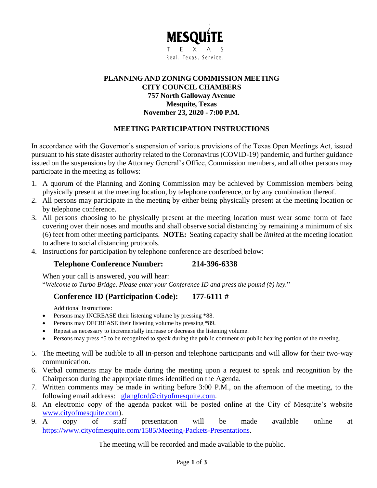

# **PLANNING AND ZONING COMMISSION MEETING CITY COUNCIL CHAMBERS 757 North Galloway Avenue Mesquite, Texas November 23, 2020 - 7:00 P.M.**

# **MEETING PARTICIPATION INSTRUCTIONS**

In accordance with the Governor's suspension of various provisions of the Texas Open Meetings Act, issued pursuant to his state disaster authority related to the Coronavirus (COVID-19) pandemic, and further guidance issued on the suspensions by the Attorney General's Office, Commission members, and all other persons may participate in the meeting as follows:

- 1. A quorum of the Planning and Zoning Commission may be achieved by Commission members being physically present at the meeting location, by telephone conference, or by any combination thereof.
- 2. All persons may participate in the meeting by either being physically present at the meeting location or by telephone conference.
- 3. All persons choosing to be physically present at the meeting location must wear some form of face covering over their noses and mouths and shall observe social distancing by remaining a minimum of six (6) feet from other meeting participants. **NOTE:** Seating capacity shall be *limited* at the meeting location to adhere to social distancing protocols.
- 4. Instructions for participation by telephone conference are described below:

# **Telephone Conference Number: 214-396-6338**

When your call is answered, you will hear: "*Welcome to Turbo Bridge. Please enter your Conference ID and press the pound (#) key.*"

# **Conference ID (Participation Code): 177-6111 #**

Additional Instructions:

- Persons may INCREASE their listening volume by pressing \*88.
- Persons may DECREASE their listening volume by pressing \*89.
- Repeat as necessary to incrementally increase or decrease the listening volume.
- Persons may press \*5 to be recognized to speak during the public comment or public hearing portion of the meeting.
- 5. The meeting will be audible to all in-person and telephone participants and will allow for their two-way communication.
- 6. Verbal comments may be made during the meeting upon a request to speak and recognition by the Chairperson during the appropriate times identified on the Agenda.
- 7. Written comments may be made in writing before 3:00 P.M., on the afternoon of the meeting, to the following email address: [glangford@cityofmesquite.com.](mailto:glangford@cityofmesquite.com)
- 8. An electronic copy of the agenda packet will be posted online at the City of Mesquite's website [www.cityofmesquite.com\)](http://www.cityofmesquite.com/).
- 9. A copy of staff presentation will be made available online at [https://www.cityofmesquite.com/1585/Meeting-Packets-Presentations.](https://www.cityofmesquite.com/1585/Meeting-Packets-Presentations)

The meeting will be recorded and made available to the public.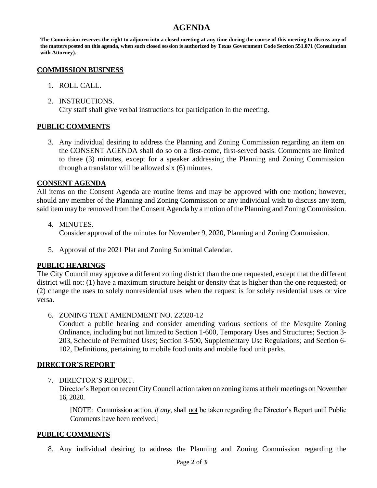# **AGENDA**

**The Commission reserves the right to adjourn into a closed meeting at any time during the course of this meeting to discuss any of the matters posted on this agenda, when such closed session is authorized by Texas Government Code Section 551.071 (Consultation with Attorney).**

#### **COMMISSION BUSINESS**

- 1. ROLL CALL.
- 2. INSTRUCTIONS. City staff shall give verbal instructions for participation in the meeting.

## **PUBLIC COMMENTS**

3. Any individual desiring to address the Planning and Zoning Commission regarding an item on the CONSENT AGENDA shall do so on a first-come, first-served basis. Comments are limited to three (3) minutes, except for a speaker addressing the Planning and Zoning Commission through a translator will be allowed six (6) minutes.

## **CONSENT AGENDA**

All items on the Consent Agenda are routine items and may be approved with one motion; however, should any member of the Planning and Zoning Commission or any individual wish to discuss any item, said item may be removed from the Consent Agenda by a motion of the Planning and Zoning Commission.

- 4. MINUTES. Consider approval of the minutes for November 9, 2020, Planning and Zoning Commission.
- 5. Approval of the 2021 Plat and Zoning Submittal Calendar.

# **PUBLIC HEARINGS**

The City Council may approve a different zoning district than the one requested, except that the different district will not: (1) have a maximum structure height or density that is higher than the one requested; or (2) change the uses to solely nonresidential uses when the request is for solely residential uses or vice versa.

6. ZONING TEXT AMENDMENT NO. Z2020-12

Conduct a public hearing and consider amending various sections of the Mesquite Zoning Ordinance, including but not limited to Section 1-600, Temporary Uses and Structures; Section 3- 203, Schedule of Permitted Uses; Section 3-500, Supplementary Use Regulations; and Section 6- 102, Definitions, pertaining to mobile food units and mobile food unit parks.

#### **DIRECTOR'S REPORT**

7. DIRECTOR'S REPORT.

Director's Report on recent City Council action taken on zoning items at their meetings on November 16, 2020.

[NOTE: Commission action, *if any*, shall not be taken regarding the Director's Report until Public Comments have been received.]

#### **PUBLIC COMMENTS**

8. Any individual desiring to address the Planning and Zoning Commission regarding the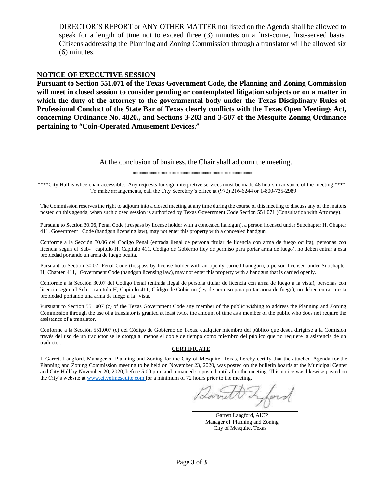DIRECTOR'S REPORT or ANY OTHER MATTER not listed on the Agenda shall be allowed to speak for a length of time not to exceed three (3) minutes on a first-come, first-served basis. Citizens addressing the Planning and Zoning Commission through a translator will be allowed six (6) minutes.

#### **NOTICE OF EXECUTIVE SESSION**

**Pursuant to Section 551.071 of the Texas Government Code, the Planning and Zoning Commission will meet in closed session to consider pending or contemplated litigation subjects or on a matter in which the duty of the attorney to the governmental body under the Texas Disciplinary Rules of Professional Conduct of the State Bar of Texas clearly conflicts with the Texas Open Meetings Act, concerning Ordinance No. 4820., and Sections 3-203 and 3-507 of the Mesquite Zoning Ordinance pertaining to "Coin-Operated Amusement Devices."**

#### At the conclusion of business, the Chair shall adjourn the meeting.

\*\*\*\*\*\*\*\*\*\*\*\*\*\*\*\*\*\*\*\*\*\*\*\*\*\*\*\*\*\*\*\*\*\*\*\*\*\*\*\*\*\*\*\*

\*\*\*\*City Hall is wheelchair accessible. Any requests for sign interpretive services must be made 48 hours in advance of the meeting.\*\*\*\* To make arrangements, call the City Secretary's office at (972) 216-6244 or 1-800-735-2989

The Commission reserves the right to adjourn into a closed meeting at any time during the course of this meeting to discuss any of the matters posted on this agenda, when such closed session is authorized by Texas Government Code Section 551.071 (Consultation with Attorney).

Pursuant to Section 30.06, Penal Code (trespass by license holder with a concealed handgun), a person licensed under Subchapter H, Chapter 411, Government Code (handgun licensing law), may not enter this property with a concealed handgun.

Conforme a la Sección 30.06 del Código Penal (entrada ilegal de persona titular de licencia con arma de fuego oculta), personas con licencia segun el Sub- capitulo H, Capitulo 411, Código de Gobierno (ley de permiso para portar arma de fuego), no deben entrar a esta propiedad portando un arma de fuego oculta.

Pursuant to Section 30.07, Penal Code (trespass by license holder with an openly carried handgun), a person licensed under Subchapter H, Chapter 411, Government Code (handgun licensing law), may not enter this property with a handgun that is carried openly.

Conforme a la Sección 30.07 del Código Penal (entrada ilegal de persona titular de licencia con arma de fuego a la vista), personas con licencia segun el Sub- capitulo H, Capitulo 411, Código de Gobierno (ley de permiso para portar arma de fuego), no deben entrar a esta propiedad portando una arma de fuego a la vista.

Pursuant to Section 551.007 (c) of the Texas Government Code any member of the public wishing to address the Planning and Zoning Commission through the use of a translator is granted at least twice the amount of time as a member of the public who does not require the assistance of a translator.

Conforme a la Sección 551.007 (c) del Código de Gobierno de Texas, cualquier miembro del público que desea dirigirse a la Comisión través del uso de un traductor se le otorga al menos el doble de tiempo como miembro del público que no requiere la asistencia de un traductor.

#### **CERTIFICATE**

I, Garrett Langford, Manager of Planning and Zoning for the City of Mesquite, Texas, hereby certify that the attached Agenda for the Planning and Zoning Commission meeting to be held on November 23, 2020, was posted on the bulletin boards at the Municipal Center and City Hall by November 20, 2020, before 5:00 p.m. and remained so posted until after the meeting. This notice was likewise posted on the City's website a[t www.cityofmesquite.com f](http://www.cityofmesquite.com/)or a minimum of 72 hours prior to the meeting.

Lurit lers

Garrett Langford, AICP Manager of Planning and Zoning City of Mesquite, Texas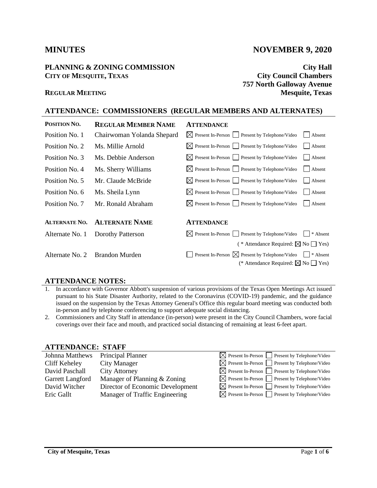#### **PLANNING & ZONING COMMISSION City Hall CITY OF MESQUITE, TEXAS City Council Chambers**

# **MINUTES** NOVEMBER 9, 2020

**757 North Galloway Avenue REGULAR MEETING Mesquite, Texas**

#### **ATTENDANCE: COMMISSIONERS (REGULAR MEMBERS AND ALTERNATES)**

| POSITION NO.         | <b>REGULAR MEMBER NAME</b>     | <b>ATTENDANCE</b>                                               |                        |
|----------------------|--------------------------------|-----------------------------------------------------------------|------------------------|
| Position No. 1       | Chairwoman Yolanda Shepard     | $\boxtimes$ Present In-Person Present by Telephone/Video        | Absent<br>$\mathbf{1}$ |
| Position No. 2       | Ms. Millie Arnold              | $\boxtimes$ Present In-Person $\Box$ Present by Telephone/Video | Absent                 |
| Position No. 3       | Ms. Debbie Anderson            | $\boxtimes$ Present In-Person $\Box$ Present by Telephone/Video | Absent                 |
| Position No. 4       | Ms. Sherry Williams            | $\boxtimes$ Present In-Person $\Box$ Present by Telephone/Video | Absent                 |
| Position No. 5       | Mr. Claude McBride             | $\boxtimes$ Present In-Person $\Box$ Present by Telephone/Video | Absent                 |
| Position No. 6       | Ms. Sheila Lynn                | $\boxtimes$ Present In-Person $\Box$ Present by Telephone/Video | Absent                 |
| Position No. 7       | Mr. Ronald Abraham             | $\boxtimes$ Present In-Person $\Box$ Present by Telephone/Video | Absent                 |
|                      |                                |                                                                 |                        |
| <b>ALTERNATE NO.</b> | <b>ALTERNATE NAME</b>          | <b>ATTENDANCE</b>                                               |                        |
| Alternate No. 1      | Dorothy Patterson              | $\boxtimes$ Present In-Person Present by Telephone/Video        | $\vert$ * Absent       |
|                      |                                | ( * Attendance Required: $\boxtimes$ No $\Box$ Yes)             |                        |
|                      | Alternate No. 2 Brandon Murden | Present In-Person $\boxtimes$ Present by Telephone/Video        | $\mathsf{I}$ * Absent  |
|                      |                                | (* Attendance Required: $\boxtimes$ No $\Box$ Yes)              |                        |

#### **ATTENDANCE NOTES:**

- 1. In accordance with Governor Abbott's suspension of various provisions of the Texas Open Meetings Act issued pursuant to his State Disaster Authority, related to the Coronavirus (COVID-19) pandemic, and the guidance issued on the suspension by the Texas Attorney General's Office this regular board meeting was conducted both in-person and by telephone conferencing to support adequate social distancing.
- 2. Commissioners and City Staff in attendance (in-person) were present in the City Council Chambers, wore facial coverings over their face and mouth, and practiced social distancing of remaining at least 6-feet apart.

# **ATTENDANCE: STAFF**

| <b>Johnna Matthews</b> | Principal Planner                | $\boxtimes$ Present In-Person $\Box$ Present by Telephone/Video |
|------------------------|----------------------------------|-----------------------------------------------------------------|
| Cliff Keheley          | City Manager                     | $\boxtimes$ Present In-Person $\Box$ Present by Telephone/Video |
| David Paschall         | <b>City Attorney</b>             | $\boxtimes$ Present In-Person $\Box$ Present by Telephone/Video |
| Garrett Langford       | Manager of Planning & Zoning     | $\boxtimes$ Present In-Person Present by Telephone/Video        |
| David Witcher          | Director of Economic Development | $\boxtimes$ Present In-Person $\Box$ Present by Telephone/Video |
| Eric Gallt             | Manager of Traffic Engineering   | $\boxtimes$ Present In-Person $\Box$ Present by Telephone/Video |
|                        |                                  |                                                                 |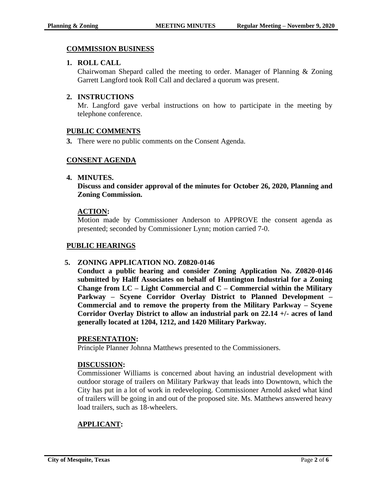# **COMMISSION BUSINESS**

## **1. ROLL CALL**

Chairwoman Shepard called the meeting to order. Manager of Planning & Zoning Garrett Langford took Roll Call and declared a quorum was present.

# **2. INSTRUCTIONS**

Mr. Langford gave verbal instructions on how to participate in the meeting by telephone conference.

## **PUBLIC COMMENTS**

**3.** There were no public comments on the Consent Agenda.

## **CONSENT AGENDA**

#### **4. MINUTES.**

**Discuss and consider approval of the minutes for October 26, 2020, Planning and Zoning Commission.**

## **ACTION:**

Motion made by Commissioner Anderson to APPROVE the consent agenda as presented; seconded by Commissioner Lynn; motion carried 7-0.

# **PUBLIC HEARINGS**

#### **5. ZONING APPLICATION NO. Z0820-0146**

**Conduct a public hearing and consider Zoning Application No. Z0820-0146 submitted by Halff Associates on behalf of Huntington Industrial for a Zoning Change from LC – Light Commercial and C – Commercial within the Military Parkway – Scyene Corridor Overlay District to Planned Development – Commercial and to remove the property from the Military Parkway – Scyene Corridor Overlay District to allow an industrial park on 22.14 +/- acres of land generally located at 1204, 1212, and 1420 Military Parkway.** 

#### **PRESENTATION:**

Principle Planner Johnna Matthews presented to the Commissioners.

#### **DISCUSSION:**

Commissioner Williams is concerned about having an industrial development with outdoor storage of trailers on Military Parkway that leads into Downtown, which the City has put in a lot of work in redeveloping. Commissioner Arnold asked what kind of trailers will be going in and out of the proposed site. Ms. Matthews answered heavy load trailers, such as 18-wheelers.

# **APPLICANT:**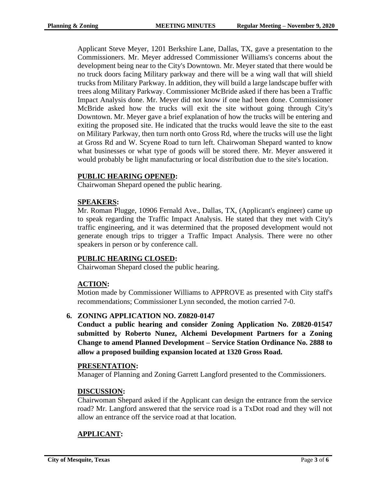Applicant Steve Meyer, 1201 Berkshire Lane, Dallas, TX, gave a presentation to the Commissioners. Mr. Meyer addressed Commissioner Williams's concerns about the development being near to the City's Downtown. Mr. Meyer stated that there would be no truck doors facing Military parkway and there will be a wing wall that will shield trucks from Military Parkway. In addition, they will build a large landscape buffer with trees along Military Parkway. Commissioner McBride asked if there has been a Traffic Impact Analysis done. Mr. Meyer did not know if one had been done. Commissioner McBride asked how the trucks will exit the site without going through City's Downtown. Mr. Meyer gave a brief explanation of how the trucks will be entering and exiting the proposed site. He indicated that the trucks would leave the site to the east on Military Parkway, then turn north onto Gross Rd, where the trucks will use the light at Gross Rd and W. Scyene Road to turn left. Chairwoman Shepard wanted to know what businesses or what type of goods will be stored there. Mr. Meyer answered it would probably be light manufacturing or local distribution due to the site's location.

#### **PUBLIC HEARING OPENED:**

Chairwoman Shepard opened the public hearing.

#### **SPEAKERS:**

 Mr. Roman Plugge, 10906 Fernald Ave., Dallas, TX, (Applicant's engineer) came up to speak regarding the Traffic Impact Analysis. He stated that they met with City's traffic engineering, and it was determined that the proposed development would not generate enough trips to trigger a Traffic Impact Analysis. There were no other speakers in person or by conference call.

#### **PUBLIC HEARING CLOSED:**

Chairwoman Shepard closed the public hearing.

#### **ACTION:**

Motion made by Commissioner Williams to APPROVE as presented with City staff's recommendations; Commissioner Lynn seconded, the motion carried 7-0.

#### **6. ZONING APPLICATION NO. Z0820-0147**

**Conduct a public hearing and consider Zoning Application No. Z0820-01547 submitted by Roberto Nunez, Alchemi Development Partners for a Zoning Change to amend Planned Development – Service Station Ordinance No. 2888 to allow a proposed building expansion located at 1320 Gross Road.**

#### **PRESENTATION:**

Manager of Planning and Zoning Garrett Langford presented to the Commissioners.

#### **DISCUSSION:**

Chairwoman Shepard asked if the Applicant can design the entrance from the service road? Mr. Langford answered that the service road is a TxDot road and they will not allow an entrance off the service road at that location.

#### **APPLICANT:**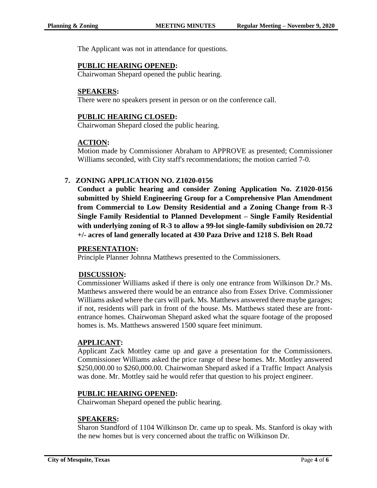The Applicant was not in attendance for questions.

#### **PUBLIC HEARING OPENED:**

Chairwoman Shepard opened the public hearing.

#### **SPEAKERS:**

There were no speakers present in person or on the conference call.

#### **PUBLIC HEARING CLOSED:**

Chairwoman Shepard closed the public hearing.

#### **ACTION:**

Motion made by Commissioner Abraham to APPROVE as presented; Commissioner Williams seconded, with City staff's recommendations; the motion carried 7-0.

#### **7. ZONING APPLICATION NO. Z1020-0156**

**Conduct a public hearing and consider Zoning Application No. Z1020-0156 submitted by Shield Engineering Group for a Comprehensive Plan Amendment from Commercial to Low Density Residential and a Zoning Change from R-3 Single Family Residential to Planned Development – Single Family Residential with underlying zoning of R-3 to allow a 99-lot single-family subdivision on 20.72 +/- acres of land generally located at 430 Paza Drive and 1218 S. Belt Road**

#### **PRESENTATION:**

Principle Planner Johnna Matthews presented to the Commissioners.

#### **DISCUSSION:**

Commissioner Williams asked if there is only one entrance from Wilkinson Dr.? Ms. Matthews answered there would be an entrance also from Essex Drive. Commissioner Williams asked where the cars will park. Ms. Matthews answered there maybe garages; if not, residents will park in front of the house. Ms. Matthews stated these are frontentrance homes. Chairwoman Shepard asked what the square footage of the proposed homes is. Ms. Matthews answered 1500 square feet minimum.

#### **APPLICANT:**

Applicant Zack Mottley came up and gave a presentation for the Commissioners. Commissioner Williams asked the price range of these homes. Mr. Mottley answered \$250,000.00 to \$260,000.00. Chairwoman Shepard asked if a Traffic Impact Analysis was done. Mr. Mottley said he would refer that question to his project engineer.

#### **PUBLIC HEARING OPENED:**

Chairwoman Shepard opened the public hearing.

#### **SPEAKERS:**

Sharon Standford of 1104 Wilkinson Dr. came up to speak. Ms. Stanford is okay with the new homes but is very concerned about the traffic on Wilkinson Dr.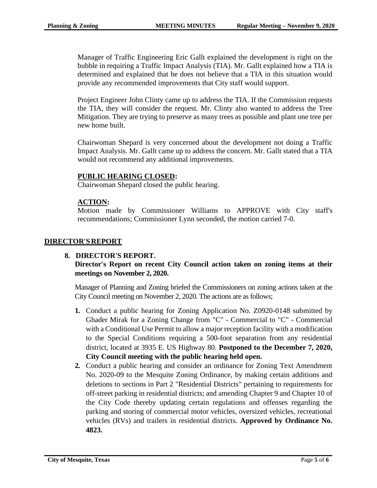Manager of Traffic Engineering Eric Gallt explained the development is right on the bubble in requiring a Traffic Impact Analysis (TIA). Mr. Gallt explained how a TIA is determined and explained that he does not believe that a TIA in this situation would provide any recommended improvements that City staff would support.

Project Engineer John Clinty came up to address the TIA. If the Commission requests the TIA, they will consider the request. Mr. Clinty also wanted to address the Tree Mitigation. They are trying to preserve as many trees as possible and plant one tree per new home built.

Chairwoman Shepard is very concerned about the development not doing a Traffic Impact Analysis. Mr. Gallt came up to address the concern. Mr. Gallt stated that a TIA would not recommend any additional improvements.

## **PUBLIC HEARING CLOSED:**

Chairwoman Shepard closed the public hearing.

## **ACTION:**

Motion made by Commissioner Williams to APPROVE with City staff's recommendations; Commissioner Lynn seconded, the motion carried 7-0.

#### **DIRECTOR'SREPORT**

#### **8. DIRECTOR'S REPORT.**

# **Director's Report on recent City Council action taken on zoning items at their meetings on November 2, 2020.**

Manager of Planning and Zoning briefed the Commissioners on zoning actions taken at the City Council meeting on November 2, 2020. The actions are as follows;

- **1.** Conduct a public hearing for Zoning Application No. Z0920-0148 submitted by Ghader Mirak for a Zoning Change from "C" - Commercial to "C" - Commercial with a Conditional Use Permit to allow a major reception facility with a modification to the Special Conditions requiring a 500-foot separation from any residential district, located at 3935 E. US Highway 80. **Postponed to the December 7, 2020, City Council meeting with the public hearing held open.**
- **2.** Conduct a public hearing and consider an ordinance for Zoning Text Amendment No. 2020-09 to the Mesquite Zoning Ordinance, by making certain additions and deletions to sections in Part 2 "Residential Districts" pertaining to requirements for off-street parking in residential districts; and amending Chapter 9 and Chapter 10 of the City Code thereby updating certain regulations and offenses regarding the parking and storing of commercial motor vehicles, oversized vehicles, recreational vehicles (RVs) and trailers in residential districts. **Approved by Ordinance No. 4823.**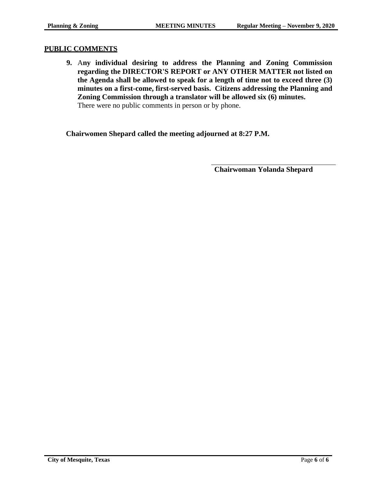#### **PUBLIC COMMENTS**

**9.** A**ny individual desiring to address the Planning and Zoning Commission regarding the DIRECTOR'S REPORT or ANY OTHER MATTER not listed on the Agenda shall be allowed to speak for a length of time not to exceed three (3) minutes on a first-come, first-served basis. Citizens addressing the Planning and Zoning Commission through a translator will be allowed six (6) minutes.**  There were no public comments in person or by phone.

**Chairwomen Shepard called the meeting adjourned at 8:27 P.M.**

**Chairwoman Yolanda Shepard**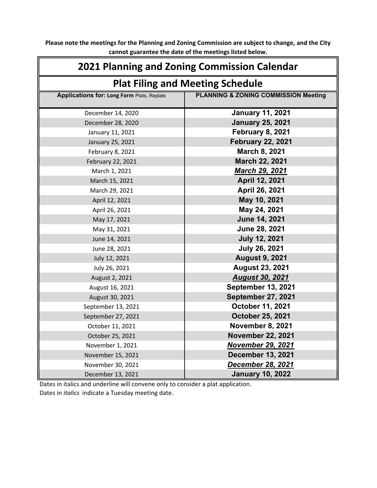**Please note the meetings for the Planning and Zoning Commission are subject to change, and the City cannot guarantee the date of the meetings listed below.**

| 2021 Planning and Zoning Commission Calendar      |                                                 |  |  |  |  |
|---------------------------------------------------|-------------------------------------------------|--|--|--|--|
| <b>Plat Filing and Meeting Schedule</b>           |                                                 |  |  |  |  |
| <b>Applications for: Long Form Plats, Replats</b> | <b>PLANNING &amp; ZONING COMMISSION Meeting</b> |  |  |  |  |
| December 14, 2020                                 | <b>January 11, 2021</b>                         |  |  |  |  |
| December 28, 2020                                 | <b>January 25, 2021</b>                         |  |  |  |  |
| January 11, 2021                                  | <b>February 8, 2021</b>                         |  |  |  |  |
| January 25, 2021                                  | <b>February 22, 2021</b>                        |  |  |  |  |
| February 8, 2021                                  | March 8, 2021                                   |  |  |  |  |
| February 22, 2021                                 | March 22, 2021                                  |  |  |  |  |
| March 1, 2021                                     | March 29, 2021                                  |  |  |  |  |
| March 15, 2021                                    | April 12, 2021                                  |  |  |  |  |
| March 29, 2021                                    | April 26, 2021                                  |  |  |  |  |
| April 12, 2021                                    | May 10, 2021                                    |  |  |  |  |
| April 26, 2021                                    | May 24, 2021                                    |  |  |  |  |
| May 17, 2021                                      | June 14, 2021                                   |  |  |  |  |
| May 31, 2021                                      | June 28, 2021                                   |  |  |  |  |
| June 14, 2021                                     | <b>July 12, 2021</b>                            |  |  |  |  |
| June 28, 2021                                     | <b>July 26, 2021</b>                            |  |  |  |  |
| July 12, 2021                                     | <b>August 9, 2021</b>                           |  |  |  |  |
| July 26, 2021                                     | <b>August 23, 2021</b>                          |  |  |  |  |
| August 2, 2021                                    | <b>August 30, 2021</b>                          |  |  |  |  |
| August 16, 2021                                   | <b>September 13, 2021</b>                       |  |  |  |  |
| August 30, 2021                                   | <b>September 27, 2021</b>                       |  |  |  |  |
| September 13, 2021                                | October 11, 2021                                |  |  |  |  |
| September 27, 2021                                | <b>October 25, 2021</b>                         |  |  |  |  |
| October 11, 2021                                  | <b>November 8, 2021</b>                         |  |  |  |  |
| October 25, 2021                                  | <b>November 22, 2021</b>                        |  |  |  |  |
| November 1, 2021                                  | <b>November 29, 2021</b>                        |  |  |  |  |
| November 15, 2021                                 | <b>December 13, 2021</b>                        |  |  |  |  |
| November 30, 2021                                 | <b>December 28, 2021</b>                        |  |  |  |  |
| December 13, 2021                                 | <b>January 10, 2022</b>                         |  |  |  |  |

Dates in italics and underline will convene only to consider a plat application. Dates in *italics* indicate a Tuesday meeting date.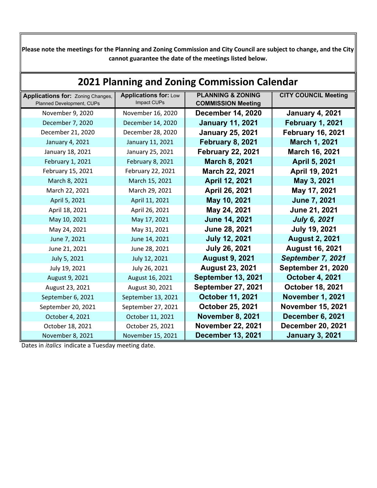**Please note the meetings for the Planning and Zoning Commission and City Council are subject to change, and the City cannot guarantee the date of the meetings listed below.**

| 2021 Planning and Zoning Commission Calendar                   |                                             |                                                           |                             |  |  |  |
|----------------------------------------------------------------|---------------------------------------------|-----------------------------------------------------------|-----------------------------|--|--|--|
| Applications for: Zoning Changes,<br>Planned Development, CUPs | <b>Applications for: Low</b><br>Impact CUPs | <b>PLANNING &amp; ZONING</b><br><b>COMMISSION Meeting</b> | <b>CITY COUNCIL Meeting</b> |  |  |  |
| November 9, 2020                                               | November 16, 2020                           | <b>December 14, 2020</b>                                  | <b>January 4, 2021</b>      |  |  |  |
| December 7, 2020                                               | December 14, 2020                           | <b>January 11, 2021</b>                                   | <b>February 1, 2021</b>     |  |  |  |
| December 21, 2020                                              | December 28, 2020                           | <b>January 25, 2021</b>                                   | <b>February 16, 2021</b>    |  |  |  |
| January 4, 2021                                                | January 11, 2021                            | <b>February 8, 2021</b>                                   | March 1, 2021               |  |  |  |
| January 18, 2021                                               | January 25, 2021                            | <b>February 22, 2021</b>                                  | March 16, 2021              |  |  |  |
| February 1, 2021                                               | February 8, 2021                            | <b>March 8, 2021</b>                                      | April 5, 2021               |  |  |  |
| February 15, 2021                                              | February 22, 2021                           | March 22, 2021                                            | April 19, 2021              |  |  |  |
| March 8, 2021                                                  | March 15, 2021                              | April 12, 2021                                            | May 3, 2021                 |  |  |  |
| March 22, 2021                                                 | March 29, 2021                              | April 26, 2021                                            | May 17, 2021                |  |  |  |
| April 5, 2021                                                  | April 11, 2021                              | May 10, 2021                                              | <b>June 7, 2021</b>         |  |  |  |
| April 18, 2021                                                 | April 26, 2021                              | May 24, 2021                                              | June 21, 2021               |  |  |  |
| May 10, 2021                                                   | May 17, 2021                                | <b>June 14, 2021</b>                                      | <b>July 6, 2021</b>         |  |  |  |
| May 24, 2021                                                   | May 31, 2021                                | June 28, 2021                                             | <b>July 19, 2021</b>        |  |  |  |
| June 7, 2021                                                   | June 14, 2021                               | <b>July 12, 2021</b>                                      | <b>August 2, 2021</b>       |  |  |  |
| June 21, 2021                                                  | June 28, 2021                               | <b>July 26, 2021</b>                                      | <b>August 16, 2021</b>      |  |  |  |
| July 5, 2021                                                   | July 12, 2021                               | <b>August 9, 2021</b>                                     | September 7, 2021           |  |  |  |
| July 19, 2021                                                  | July 26, 2021                               | <b>August 23, 2021</b>                                    | <b>September 21, 2020</b>   |  |  |  |
| August 9, 2021                                                 | August 16, 2021                             | <b>September 13, 2021</b>                                 | <b>October 4, 2021</b>      |  |  |  |
| August 23, 2021                                                | August 30, 2021                             | <b>September 27, 2021</b>                                 | October 18, 2021            |  |  |  |
| September 6, 2021                                              | September 13, 2021                          | <b>October 11, 2021</b>                                   | <b>November 1, 2021</b>     |  |  |  |
| September 20, 2021                                             | September 27, 2021                          | October 25, 2021                                          | <b>November 15, 2021</b>    |  |  |  |
| October 4, 2021                                                | October 11, 2021                            | <b>November 8, 2021</b>                                   | December 6, 2021            |  |  |  |
| October 18, 2021                                               | October 25, 2021                            | <b>November 22, 2021</b>                                  | <b>December 20, 2021</b>    |  |  |  |
| November 8, 2021                                               | November 15, 2021                           | <b>December 13, 2021</b>                                  | <b>January 3, 2021</b>      |  |  |  |

Dates in *italics* indicate a Tuesday meeting date.